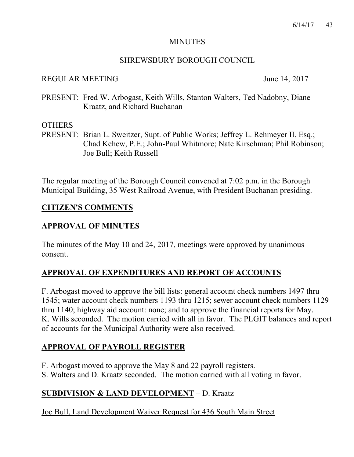#### **MINUTES**

### SHREWSBURY BOROUGH COUNCIL

### REGULAR MEETING June 14, 2017

PRESENT: Fred W. Arbogast, Keith Wills, Stanton Walters, Ted Nadobny, Diane Kraatz, and Richard Buchanan

### **OTHERS**

PRESENT: Brian L. Sweitzer, Supt. of Public Works; Jeffrey L. Rehmeyer II, Esq.; Chad Kehew, P.E.; John-Paul Whitmore; Nate Kirschman; Phil Robinson; Joe Bull; Keith Russell

The regular meeting of the Borough Council convened at 7:02 p.m. in the Borough Municipal Building, 35 West Railroad Avenue, with President Buchanan presiding.

### **CITIZEN'S COMMENTS**

### **APPROVAL OF MINUTES**

The minutes of the May 10 and 24, 2017, meetings were approved by unanimous consent.

## **APPROVAL OF EXPENDITURES AND REPORT OF ACCOUNTS**

F. Arbogast moved to approve the bill lists: general account check numbers 1497 thru 1545; water account check numbers 1193 thru 1215; sewer account check numbers 1129 thru 1140; highway aid account: none; and to approve the financial reports for May. K. Wills seconded. The motion carried with all in favor. The PLGIT balances and report of accounts for the Municipal Authority were also received.

## **APPROVAL OF PAYROLL REGISTER**

F. Arbogast moved to approve the May 8 and 22 payroll registers.

S. Walters and D. Kraatz seconded. The motion carried with all voting in favor.

## **SUBDIVISION & LAND DEVELOPMENT** – D. Kraatz

Joe Bull, Land Development Waiver Request for 436 South Main Street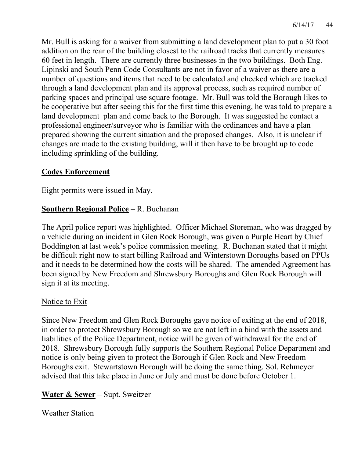Mr. Bull is asking for a waiver from submitting a land development plan to put a 30 foot addition on the rear of the building closest to the railroad tracks that currently measures 60 feet in length. There are currently three businesses in the two buildings. Both Eng. Lipinski and South Penn Code Consultants are not in favor of a waiver as there are a number of questions and items that need to be calculated and checked which are tracked through a land development plan and its approval process, such as required number of parking spaces and principal use square footage. Mr. Bull was told the Borough likes to be cooperative but after seeing this for the first time this evening, he was told to prepare a land development plan and come back to the Borough. It was suggested he contact a professional engineer/surveyor who is familiar with the ordinances and have a plan prepared showing the current situation and the proposed changes. Also, it is unclear if changes are made to the existing building, will it then have to be brought up to code including sprinkling of the building.

### **Codes Enforcement**

Eight permits were issued in May.

## **Southern Regional Police** – R. Buchanan

The April police report was highlighted. Officer Michael Storeman, who was dragged by a vehicle during an incident in Glen Rock Borough, was given a Purple Heart by Chief Boddington at last week's police commission meeting. R. Buchanan stated that it might be difficult right now to start billing Railroad and Winterstown Boroughs based on PPUs and it needs to be determined how the costs will be shared. The amended Agreement has been signed by New Freedom and Shrewsbury Boroughs and Glen Rock Borough will sign it at its meeting.

### Notice to Exit

Since New Freedom and Glen Rock Boroughs gave notice of exiting at the end of 2018, in order to protect Shrewsbury Borough so we are not left in a bind with the assets and liabilities of the Police Department, notice will be given of withdrawal for the end of 2018. Shrewsbury Borough fully supports the Southern Regional Police Department and notice is only being given to protect the Borough if Glen Rock and New Freedom Boroughs exit. Stewartstown Borough will be doing the same thing. Sol. Rehmeyer advised that this take place in June or July and must be done before October 1.

## **Water & Sewer** – Supt. Sweitzer

Weather Station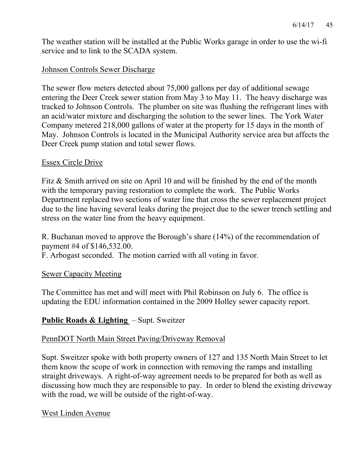The weather station will be installed at the Public Works garage in order to use the wi-fi service and to link to the SCADA system.

### Johnson Controls Sewer Discharge

The sewer flow meters detected about 75,000 gallons per day of additional sewage entering the Deer Creek sewer station from May 3 to May 11. The heavy discharge was tracked to Johnson Controls. The plumber on site was flushing the refrigerant lines with an acid/water mixture and discharging the solution to the sewer lines. The York Water Company metered 218,000 gallons of water at the property for 15 days in the month of May. Johnson Controls is located in the Municipal Authority service area but affects the Deer Creek pump station and total sewer flows.

### Essex Circle Drive

Fitz & Smith arrived on site on April 10 and will be finished by the end of the month with the temporary paving restoration to complete the work. The Public Works Department replaced two sections of water line that cross the sewer replacement project due to the line having several leaks during the project due to the sewer trench settling and stress on the water line from the heavy equipment.

R. Buchanan moved to approve the Borough's share (14%) of the recommendation of payment #4 of \$146,532.00.

F. Arbogast seconded. The motion carried with all voting in favor.

### Sewer Capacity Meeting

The Committee has met and will meet with Phil Robinson on July 6. The office is updating the EDU information contained in the 2009 Holley sewer capacity report.

## **Public Roads & Lighting** – Supt. Sweitzer

### PennDOT North Main Street Paving/Driveway Removal

Supt. Sweitzer spoke with both property owners of 127 and 135 North Main Street to let them know the scope of work in connection with removing the ramps and installing straight driveways. A right-of-way agreement needs to be prepared for both as well as discussing how much they are responsible to pay. In order to blend the existing driveway with the road, we will be outside of the right-of-way.

#### West Linden Avenue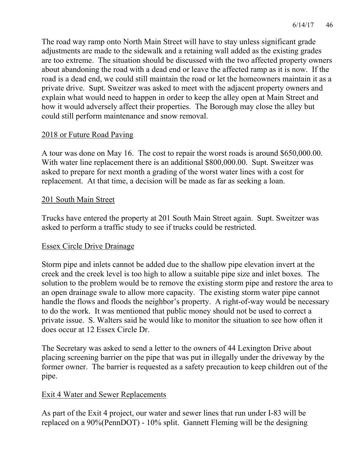The road way ramp onto North Main Street will have to stay unless significant grade adjustments are made to the sidewalk and a retaining wall added as the existing grades are too extreme. The situation should be discussed with the two affected property owners about abandoning the road with a dead end or leave the affected ramp as it is now. If the road is a dead end, we could still maintain the road or let the homeowners maintain it as a private drive. Supt. Sweitzer was asked to meet with the adjacent property owners and explain what would need to happen in order to keep the alley open at Main Street and how it would adversely affect their properties. The Borough may close the alley but could still perform maintenance and snow removal.

### 2018 or Future Road Paving

A tour was done on May 16. The cost to repair the worst roads is around \$650,000.00. With water line replacement there is an additional \$800,000.00. Supt. Sweitzer was asked to prepare for next month a grading of the worst water lines with a cost for replacement. At that time, a decision will be made as far as seeking a loan.

### 201 South Main Street

Trucks have entered the property at 201 South Main Street again. Supt. Sweitzer was asked to perform a traffic study to see if trucks could be restricted.

#### Essex Circle Drive Drainage

Storm pipe and inlets cannot be added due to the shallow pipe elevation invert at the creek and the creek level is too high to allow a suitable pipe size and inlet boxes. The solution to the problem would be to remove the existing storm pipe and restore the area to an open drainage swale to allow more capacity. The existing storm water pipe cannot handle the flows and floods the neighbor's property. A right-of-way would be necessary to do the work. It was mentioned that public money should not be used to correct a private issue. S. Walters said he would like to monitor the situation to see how often it does occur at 12 Essex Circle Dr.

The Secretary was asked to send a letter to the owners of 44 Lexington Drive about placing screening barrier on the pipe that was put in illegally under the driveway by the former owner. The barrier is requested as a safety precaution to keep children out of the pipe.

### Exit 4 Water and Sewer Replacements

As part of the Exit 4 project, our water and sewer lines that run under I-83 will be replaced on a 90%(PennDOT) - 10% split. Gannett Fleming will be the designing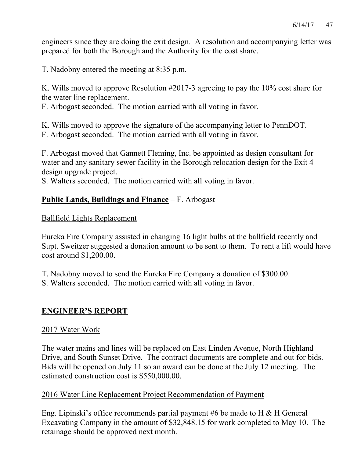engineers since they are doing the exit design. A resolution and accompanying letter was prepared for both the Borough and the Authority for the cost share.

T. Nadobny entered the meeting at 8:35 p.m.

K. Wills moved to approve Resolution #2017-3 agreeing to pay the 10% cost share for the water line replacement.

F. Arbogast seconded. The motion carried with all voting in favor.

K. Wills moved to approve the signature of the accompanying letter to PennDOT.

F. Arbogast seconded. The motion carried with all voting in favor.

F. Arbogast moved that Gannett Fleming, Inc. be appointed as design consultant for water and any sanitary sewer facility in the Borough relocation design for the Exit 4 design upgrade project.

S. Walters seconded. The motion carried with all voting in favor.

## **Public Lands, Buildings and Finance** – F. Arbogast

### Ballfield Lights Replacement

Eureka Fire Company assisted in changing 16 light bulbs at the ballfield recently and Supt. Sweitzer suggested a donation amount to be sent to them. To rent a lift would have cost around \$1,200.00.

T. Nadobny moved to send the Eureka Fire Company a donation of \$300.00.

S. Walters seconded. The motion carried with all voting in favor.

### **ENGINEER'S REPORT**

### 2017 Water Work

The water mains and lines will be replaced on East Linden Avenue, North Highland Drive, and South Sunset Drive. The contract documents are complete and out for bids. Bids will be opened on July 11 so an award can be done at the July 12 meeting. The estimated construction cost is \$550,000.00.

### 2016 Water Line Replacement Project Recommendation of Payment

Eng. Lipinski's office recommends partial payment #6 be made to H & H General Excavating Company in the amount of \$32,848.15 for work completed to May 10. The retainage should be approved next month.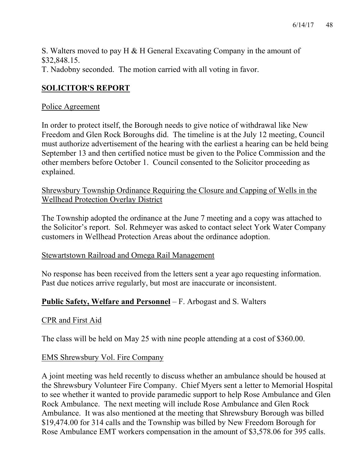S. Walters moved to pay H & H General Excavating Company in the amount of \$32,848.15. T. Nadobny seconded. The motion carried with all voting in favor.

## **SOLICITOR'S REPORT**

### Police Agreement

In order to protect itself, the Borough needs to give notice of withdrawal like New Freedom and Glen Rock Boroughs did. The timeline is at the July 12 meeting, Council must authorize advertisement of the hearing with the earliest a hearing can be held being September 13 and then certified notice must be given to the Police Commission and the other members before October 1. Council consented to the Solicitor proceeding as explained.

Shrewsbury Township Ordinance Requiring the Closure and Capping of Wells in the Wellhead Protection Overlay District

The Township adopted the ordinance at the June 7 meeting and a copy was attached to the Solicitor's report. Sol. Rehmeyer was asked to contact select York Water Company customers in Wellhead Protection Areas about the ordinance adoption.

### Stewartstown Railroad and Omega Rail Management

No response has been received from the letters sent a year ago requesting information. Past due notices arrive regularly, but most are inaccurate or inconsistent.

### **Public Safety, Welfare and Personnel** – F. Arbogast and S. Walters

### CPR and First Aid

The class will be held on May 25 with nine people attending at a cost of \$360.00.

### EMS Shrewsbury Vol. Fire Company

A joint meeting was held recently to discuss whether an ambulance should be housed at the Shrewsbury Volunteer Fire Company. Chief Myers sent a letter to Memorial Hospital to see whether it wanted to provide paramedic support to help Rose Ambulance and Glen Rock Ambulance. The next meeting will include Rose Ambulance and Glen Rock Ambulance. It was also mentioned at the meeting that Shrewsbury Borough was billed \$19,474.00 for 314 calls and the Township was billed by New Freedom Borough for Rose Ambulance EMT workers compensation in the amount of \$3,578.06 for 395 calls.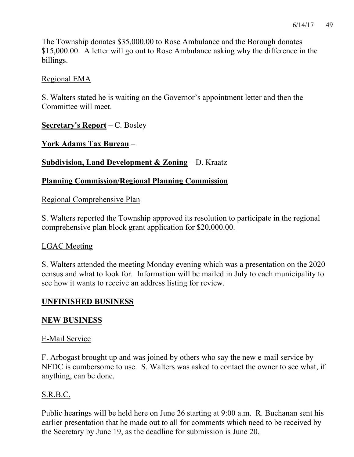The Township donates \$35,000.00 to Rose Ambulance and the Borough donates \$15,000.00. A letter will go out to Rose Ambulance asking why the difference in the billings.

## Regional EMA

S. Walters stated he is waiting on the Governor's appointment letter and then the Committee will meet.

**Secretary's Report** – C. Bosley

**York Adams Tax Bureau** –

**Subdivision, Land Development & Zoning** – D. Kraatz

## **Planning Commission/Regional Planning Commission**

Regional Comprehensive Plan

S. Walters reported the Township approved its resolution to participate in the regional comprehensive plan block grant application for \$20,000.00.

## LGAC Meeting

S. Walters attended the meeting Monday evening which was a presentation on the 2020 census and what to look for. Information will be mailed in July to each municipality to see how it wants to receive an address listing for review.

## **UNFINISHED BUSINESS**

## **NEW BUSINESS**

## E-Mail Service

F. Arbogast brought up and was joined by others who say the new e-mail service by NFDC is cumbersome to use. S. Walters was asked to contact the owner to see what, if anything, can be done.

## S.R.B.C.

Public hearings will be held here on June 26 starting at 9:00 a.m. R. Buchanan sent his earlier presentation that he made out to all for comments which need to be received by the Secretary by June 19, as the deadline for submission is June 20.